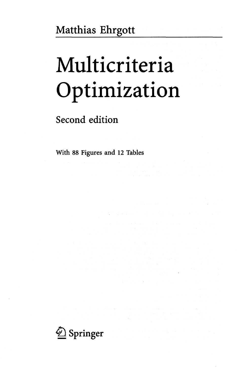## Multicriteria Optimization

Second edition

With 88 Figures and 12 Tables

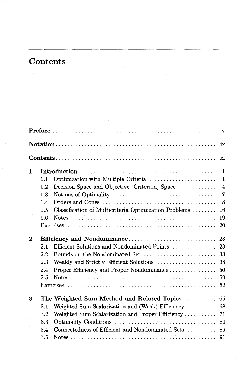## Contents

 $\overline{a}$ 

|   |         | Marie Carl State Constantinopolis (A)                 |                         |
|---|---------|-------------------------------------------------------|-------------------------|
|   |         |                                                       | $\overline{\mathbf{v}}$ |
|   |         |                                                       | ix                      |
|   |         |                                                       | xi                      |
| 1 |         |                                                       | $\mathbf{1}$            |
|   | 1.1     | Optimization with Multiple Criteria                   | $\mathbf{1}$            |
|   | 1.2     | Decision Space and Objective (Criterion) Space        | $\overline{\mathbf{4}}$ |
|   | 1.3     |                                                       | $\overline{7}$          |
|   | 1.4     |                                                       | 8                       |
|   | 1.5     | Classification of Multicriteria Optimization Problems | 16                      |
|   | $1.6\,$ |                                                       | 19                      |
|   |         |                                                       | 20                      |
| 2 |         | Efficiency and Nondominance                           | 23                      |
|   | 2.1     | Efficient Solutions and Nondominated Points           | 23                      |
|   | 2.2     | Bounds on the Nondominated Set                        | 33                      |
|   | 2.3     | Weakly and Strictly Efficient Solutions               | 38                      |
|   | 2.4     | Proper Efficiency and Proper Nondominance             | 50                      |
|   | 2.5     |                                                       | 59                      |
|   |         |                                                       | 62                      |
| 3 |         | The Weighted Sum Method and Related Topics            | 65                      |
|   | 3.1     | Weighted Sum Scalarization and (Weak) Efficiency      | 68                      |
|   | $3.2\,$ | Weighted Sum Scalarization and Proper Efficiency      | 71                      |
|   | 3.3     |                                                       | 80                      |
|   | 3.4     | Connectedness of Efficient and Nondominated Sets      | 86                      |
|   | 3.5     |                                                       | 91                      |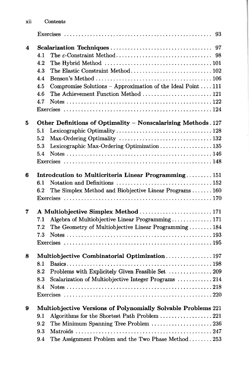| 4 |                                                     |                                                                                                             |  |
|---|-----------------------------------------------------|-------------------------------------------------------------------------------------------------------------|--|
|   | 4.1                                                 |                                                                                                             |  |
|   | 4.2                                                 | The Hybrid Method $\ldots \ldots \ldots \ldots \ldots \ldots \ldots \ldots \ldots \ldots \ldots \ldots 101$ |  |
|   | 4.3                                                 | The Elastic Constraint Method102                                                                            |  |
|   | 4.4                                                 |                                                                                                             |  |
|   | 4.5                                                 | Compromise Solutions - Approximation of the Ideal Point 111                                                 |  |
|   | 4.6                                                 | The Achievement Function Method 121                                                                         |  |
|   | 4.7                                                 |                                                                                                             |  |
|   |                                                     |                                                                                                             |  |
| 5 |                                                     | Other Definitions of Optimality - Nonscalarizing Methods. 127                                               |  |
|   | 5.1                                                 |                                                                                                             |  |
|   | 5.2                                                 |                                                                                                             |  |
|   | 5.3                                                 | Lexicographic Max-Ordering Optimization  135                                                                |  |
|   | 5.4                                                 |                                                                                                             |  |
|   |                                                     |                                                                                                             |  |
| 6 | Introdeution to Multicriteria Linear Programming151 |                                                                                                             |  |
|   | 6.1                                                 |                                                                                                             |  |
|   | 6.2                                                 | The Simplex Method and Biobjective Linear Programs  160                                                     |  |
|   |                                                     |                                                                                                             |  |
| 7 |                                                     |                                                                                                             |  |
|   | 7.1                                                 | Algebra of Multiobjective Linear Programming 171                                                            |  |
|   | 7.2                                                 | The Geometry of Multiobjective Linear Programming  184                                                      |  |
|   | 7.3                                                 |                                                                                                             |  |
|   |                                                     |                                                                                                             |  |
| 8 |                                                     | Multiobjective Combinatorial Optimization197                                                                |  |
|   | 8.1                                                 |                                                                                                             |  |
|   | 8.2                                                 | Problems with Explicitely Given Feasible Set  209                                                           |  |
|   | 8.3                                                 | Scalarization of Multiobjective Integer Programs 214                                                        |  |
|   | 8.4                                                 |                                                                                                             |  |
|   |                                                     |                                                                                                             |  |
| 9 |                                                     | Multiobjective Versions of Polynomially Solvable Problems 221                                               |  |
|   | 9.1                                                 | Algorithms for the Shortest Path Problem 221                                                                |  |
|   | 9.2                                                 | The Minimum Spanning Tree Problem 236                                                                       |  |
|   | 9.3                                                 |                                                                                                             |  |
|   | 9.4                                                 | The Assignment Problem and the Two Phase Method253                                                          |  |